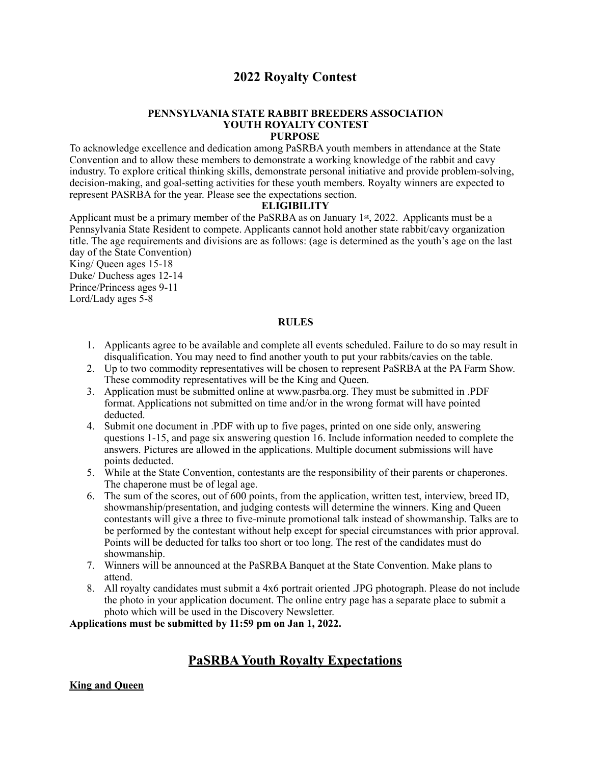## **2022 Royalty Contest**

#### **PENNSYLVANIA STATE RABBIT BREEDERS ASSOCIATION YOUTH ROYALTY CONTEST PURPOSE**

To acknowledge excellence and dedication among PaSRBA youth members in attendance at the State Convention and to allow these members to demonstrate a working knowledge of the rabbit and cavy industry. To explore critical thinking skills, demonstrate personal initiative and provide problem-solving, decision-making, and goal-setting activities for these youth members. Royalty winners are expected to represent PASRBA for the year. Please see the expectations section.

### **ELIGIBILITY**

Applicant must be a primary member of the PaSRBA as on January 1st, 2022. Applicants must be a Pennsylvania State Resident to compete. Applicants cannot hold another state rabbit/cavy organization title. The age requirements and divisions are as follows: (age is determined as the youth's age on the last day of the State Convention)

King/ Queen ages 15-18 Duke/ Duchess ages 12-14 Prince/Princess ages 9-11 Lord/Lady ages 5-8

### **RULES**

- 1. Applicants agree to be available and complete all events scheduled. Failure to do so may result in disqualification. You may need to find another youth to put your rabbits/cavies on the table.
- 2. Up to two commodity representatives will be chosen to represent PaSRBA at the PA Farm Show. These commodity representatives will be the King and Queen.
- 3. Application must be submitted online at www.pasrba.org. They must be submitted in .PDF format. Applications not submitted on time and/or in the wrong format will have pointed deducted.
- 4. Submit one document in .PDF with up to five pages, printed on one side only, answering questions 1-15, and page six answering question 16. Include information needed to complete the answers. Pictures are allowed in the applications. Multiple document submissions will have points deducted.
- 5. While at the State Convention, contestants are the responsibility of their parents or chaperones. The chaperone must be of legal age.
- 6. The sum of the scores, out of 600 points, from the application, written test, interview, breed ID, showmanship/presentation, and judging contests will determine the winners. King and Queen contestants will give a three to five-minute promotional talk instead of showmanship. Talks are to be performed by the contestant without help except for special circumstances with prior approval. Points will be deducted for talks too short or too long. The rest of the candidates must do showmanship.
- 7. Winners will be announced at the PaSRBA Banquet at the State Convention. Make plans to attend.
- 8. All royalty candidates must submit a 4x6 portrait oriented .JPG photograph. Please do not include the photo in your application document. The online entry page has a separate place to submit a photo which will be used in the Discovery Newsletter.

**Applications must be submitted by 11:59 pm on Jan 1, 2022.** 

# **PaSRBA Youth Royalty Expectations**

**King and Queen**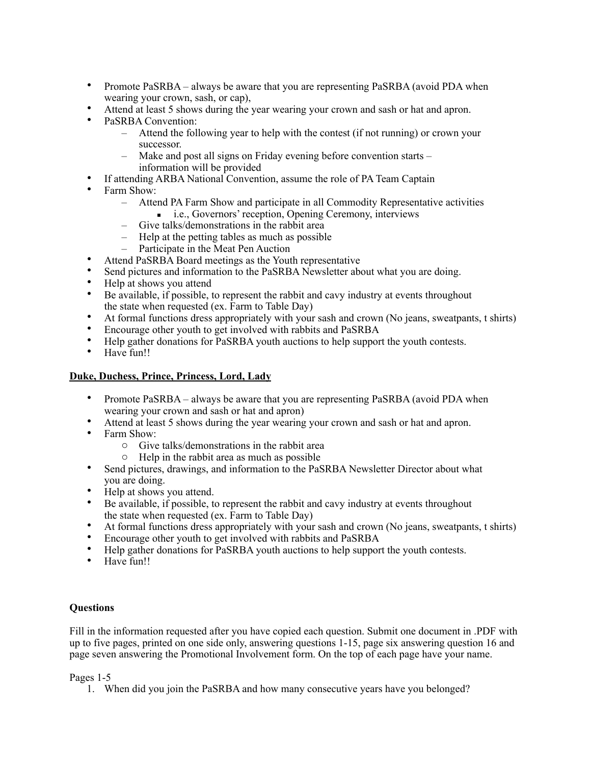- Promote PaSRBA always be aware that you are representing PaSRBA (avoid PDA when wearing your crown, sash, or cap),
- Attend at least 5 shows during the year wearing your crown and sash or hat and apron.
- PaSRBA Convention:
	- Attend the following year to help with the contest (if not running) or crown your successor.
	- Make and post all signs on Friday evening before convention starts information will be provided
- If attending ARBA National Convention, assume the role of PA Team Captain
- Farm Show:
	- Attend PA Farm Show and participate in all Commodity Representative activities
		- i.e., Governors' reception, Opening Ceremony, interviews
	- Give talks/demonstrations in the rabbit area
	- Help at the petting tables as much as possible
	- Participate in the Meat Pen Auction
- Attend PaSRBA Board meetings as the Youth representative
- Send pictures and information to the PaSRBA Newsletter about what you are doing.
- Help at shows you attend
- Be available, if possible, to represent the rabbit and cavy industry at events throughout the state when requested (ex. Farm to Table Day)
- At formal functions dress appropriately with your sash and crown (No jeans, sweatpants, t shirts)
- Encourage other youth to get involved with rabbits and PaSRBA
- Help gather donations for PaSRBA youth auctions to help support the youth contests.
- Have fun!!

## **Duke, Duchess, Prince, Princess, Lord, Lady**

- Promote PaSRBA always be aware that you are representing PaSRBA (avoid PDA when wearing your crown and sash or hat and apron)
- Attend at least 5 shows during the year wearing your crown and sash or hat and apron.
- Farm Show:
	- o Give talks/demonstrations in the rabbit area
	- o Help in the rabbit area as much as possible
- Send pictures, drawings, and information to the PaSRBA Newsletter Director about what you are doing.
- Help at shows you attend.
- Be available, if possible, to represent the rabbit and cavy industry at events throughout the state when requested (ex. Farm to Table Day)
- At formal functions dress appropriately with your sash and crown (No jeans, sweatpants, t shirts)
- Encourage other youth to get involved with rabbits and PaSRBA
- Help gather donations for PaSRBA youth auctions to help support the youth contests.
- Have fun!!

## **Questions**

Fill in the information requested after you have copied each question. Submit one document in .PDF with up to five pages, printed on one side only, answering questions 1-15, page six answering question 16 and page seven answering the Promotional Involvement form. On the top of each page have your name.

Pages 1-5

1. When did you join the PaSRBA and how many consecutive years have you belonged?